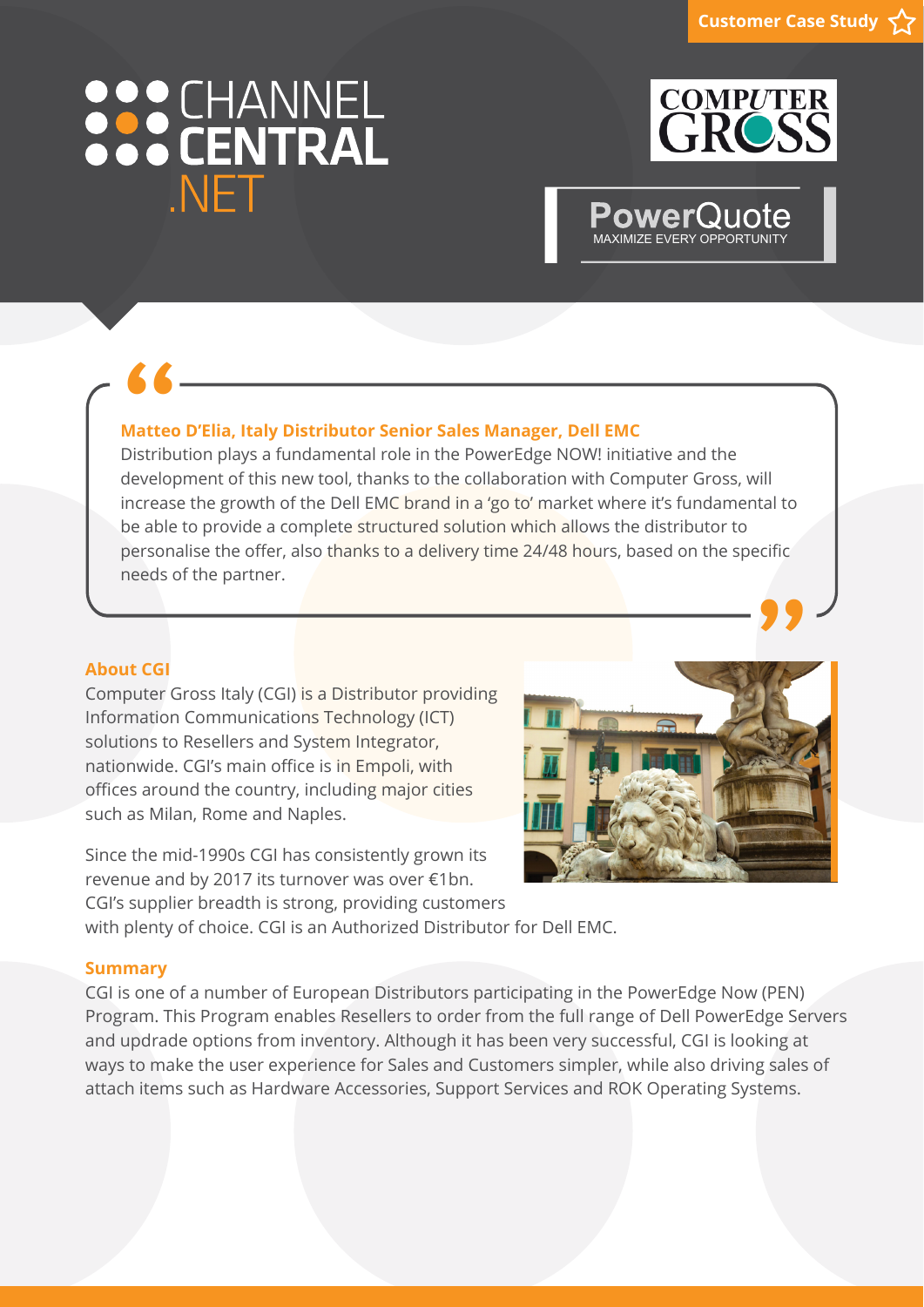# 888 CHANNEL NFT



MAXIMIZE EVERY OPPORTUNIT

**Power()** 

**66**<br>Matted<br>Distribu **" Matteo D'Elia, Italy Distributor Senior Sales Manager, Dell EMC** Distribution plays a fundamental role in the PowerEdge NOW! initiative and the development of this new tool, thanks to the collaboration with Computer Gross, will increase the growth of the Dell EMC brand in a 'go to' market where it's fundamental to be able to provide a complete structured solution which allows the distributor to personalise the offer, also thanks to a delivery time 24/48 hours, based on the specific needs of the partner.

### **About CGI**

Computer Gross Italy (CGI) is a Distributor providing Information Communications Technology (ICT) solutions to Resellers and System Integrator, nationwide. CGI's main office is in Empoli, with offices around the country, including major cities such as Milan, Rome and Naples.

Since the mid-1990s CGI has consistently grown its revenue and by 2017 its turnover was over €1bn. CGI's supplier breadth is strong, providing customers



with plenty of choice. CGI is an Authorized Distributor for Dell EMC.

#### **Summary**

CGI is one of a number of European Distributors participating in the PowerEdge Now (PEN) Program. This Program enables Resellers to order from the full range of Dell PowerEdge Servers and updrade options from inventory. Although it has been very successful, CGI is looking at ways to make the user experience for Sales and Customers simpler, while also driving sales of attach items such as Hardware Accessories, Support Services and ROK Operating Systems.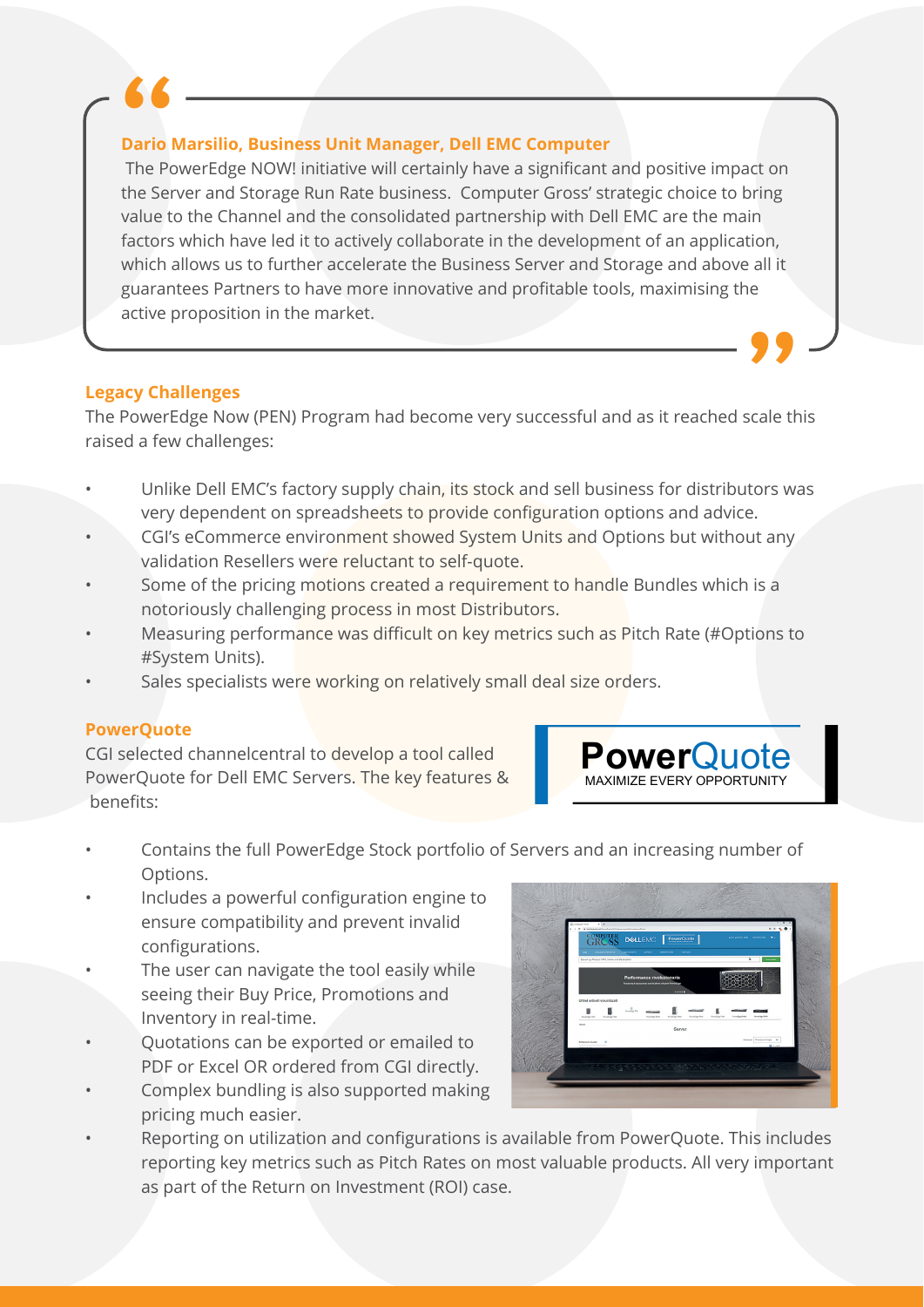#### **Dario Marsilio, Business Unit Manager, Dell EMC Computer**

**66 COME THE POWERFORM COMPUTER THE POWEREDGE NOW! Initiative will certainly have a significant and positive impact on <b>"**<br>The PowerEdge NOW! initiative will certainly have a significant and positive impact on the Server and Storage Run Rate business. Computer Gross' strategic choice to bring value to the Channel and the consolidated partnership with Dell EMC are the main factors which have led it to actively collaborate in the development of an application, which allows us to further accelerate the Business Server and Storage and above all it guarantees Partners to have more innovative and profitable tools, maximising the active proposition in the market. 。<br>99

### **Legacy Challenges**

The PowerEdge Now (PEN) Program had become very successful and as it reached scale this raised a few challenges:

- Unlike Dell EMC's factory supply chain, its stock and sell business for distributors was very dependent on spreadsheets to provide configuration options and advice.
- CGI's eCommerce environment showed System Units and Options but without any validation Resellers were reluctant to self-quote.
- Some of the pricing motions created a requirement to handle Bundles which is a notoriously challenging process in most Distributors.
- Measuring performance was difficult on key metrics such as Pitch Rate (#Options to #System Units).
- Sales specialists were working on relatively small deal size orders.

### **PowerQuote**

CGI selected channelcentral to develop a tool called PowerQuote for Dell EMC Servers. The key features & benefits:

**Power**Quote MAXIMIZE EVERY OPPORTUNITY

- Contains the full PowerEdge Stock portfolio of Servers and an increasing number of Options.
- Includes a powerful configuration engine to ensure compatibility and prevent invalid configurations.
- The user can navigate the tool easily while seeing their Buy Price, Promotions and Inventory in real-time.
- Quotations can be exported or emailed to PDF or Excel OR ordered from CGI directly.
- Complex bundling is also supported making pricing much easier.
- 
- Reporting on utilization and configurations is available from PowerQuote. This includes reporting key metrics such as Pitch Rates on most valuable products. All very important as part of the Return on Investment (ROI) case.